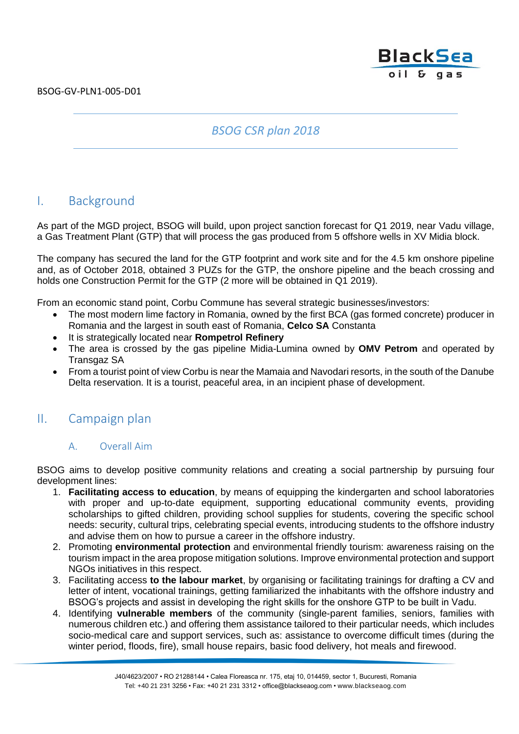# **BlackSea** oil & gas

## *BSOG CSR plan 2018*

# I. Background

As part of the MGD project, BSOG will build, upon project sanction forecast for Q1 2019, near Vadu village, a Gas Treatment Plant (GTP) that will process the gas produced from 5 offshore wells in XV Midia block.

The company has secured the land for the GTP footprint and work site and for the 4.5 km onshore pipeline and, as of October 2018, obtained 3 PUZs for the GTP, the onshore pipeline and the beach crossing and holds one Construction Permit for the GTP (2 more will be obtained in Q1 2019).

From an economic stand point, Corbu Commune has several strategic businesses/investors:

- The most modern lime factory in Romania, owned by the first BCA (gas formed concrete) producer in Romania and the largest in south east of Romania, **Celco SA** Constanta
- It is strategically located near **Rompetrol Refinery**
- The area is crossed by the gas pipeline Midia-Lumina owned by **OMV Petrom** and operated by Transgaz SA
- From a tourist point of view Corbu is near the Mamaia and Navodari resorts, in the south of the Danube Delta reservation. It is a tourist, peaceful area, in an incipient phase of development.

# II. Campaign plan

## A. Overall Aim

BSOG aims to develop positive community relations and creating a social partnership by pursuing four development lines:

- 1. **Facilitating access to education**, by means of equipping the kindergarten and school laboratories with proper and up-to-date equipment, supporting educational community events, providing scholarships to gifted children, providing school supplies for students, covering the specific school needs: security, cultural trips, celebrating special events, introducing students to the offshore industry and advise them on how to pursue a career in the offshore industry.
- 2. Promoting **environmental protection** and environmental friendly tourism: awareness raising on the tourism impact in the area propose mitigation solutions. Improve environmental protection and support NGOs initiatives in this respect.
- 3. Facilitating access **to the labour market**, by organising or facilitating trainings for drafting a CV and letter of intent, vocational trainings, getting familiarized the inhabitants with the offshore industry and BSOG's projects and assist in developing the right skills for the onshore GTP to be built in Vadu.
- 4. Identifying **vulnerable members** of the community (single-parent families, seniors, families with numerous children etc.) and offering them assistance tailored to their particular needs, which includes socio-medical care and support services, such as: assistance to overcome difficult times (during the winter period, floods, fire), small house repairs, basic food delivery, hot meals and firewood.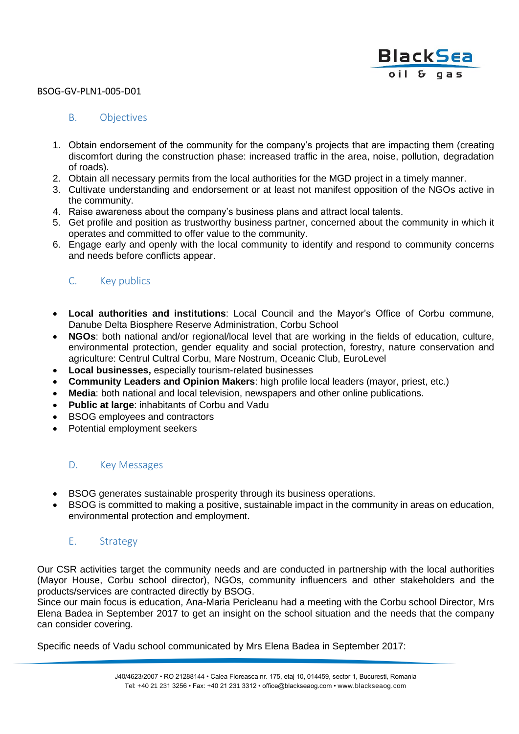

#### BSOG-GV-PLN1-005-D01

### B. Objectives

- 1. Obtain endorsement of the community for the company's projects that are impacting them (creating discomfort during the construction phase: increased traffic in the area, noise, pollution, degradation of roads).
- 2. Obtain all necessary permits from the local authorities for the MGD project in a timely manner.
- 3. Cultivate understanding and endorsement or at least not manifest opposition of the NGOs active in the community.
- 4. Raise awareness about the company's business plans and attract local talents.
- 5. Get profile and position as trustworthy business partner, concerned about the community in which it operates and committed to offer value to the community.
- 6. Engage early and openly with the local community to identify and respond to community concerns and needs before conflicts appear.

### C. Key publics

- **Local authorities and institutions**: Local Council and the Mayor's Office of Corbu commune, Danube Delta Biosphere Reserve Administration, Corbu School
- **NGOs**: both national and/or regional/local level that are working in the fields of education, culture, environmental protection, gender equality and social protection, forestry, nature conservation and agriculture: Centrul Cultral Corbu, Mare Nostrum, Oceanic Club, EuroLevel
- **Local businesses,** especially tourism-related businesses
- **Community Leaders and Opinion Makers**: high profile local leaders (mayor, priest, etc.)
- **Media**: both national and local television, newspapers and other online publications.
- **Public at large**: inhabitants of Corbu and Vadu
- BSOG employees and contractors
- Potential employment seekers

#### D. Key Messages

- BSOG generates sustainable prosperity through its business operations.
- BSOG is committed to making a positive, sustainable impact in the community in areas on education, environmental protection and employment.

#### E. Strategy

Our CSR activities target the community needs and are conducted in partnership with the local authorities (Mayor House, Corbu school director), NGOs, community influencers and other stakeholders and the products/services are contracted directly by BSOG.

Since our main focus is education, Ana-Maria Pericleanu had a meeting with the Corbu school Director, Mrs Elena Badea in September 2017 to get an insight on the school situation and the needs that the company can consider covering.

Specific needs of Vadu school communicated by Mrs Elena Badea in September 2017: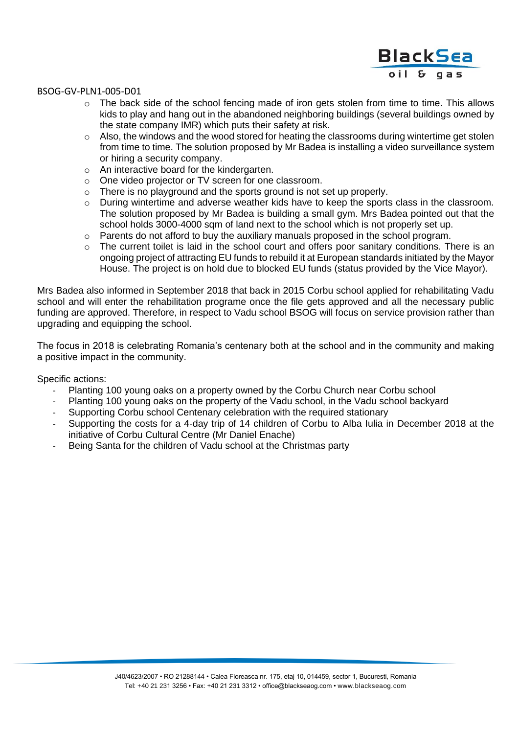# **BlackSea** oil & gas

#### BSOG-GV-PLN1-005-D01

- $\circ$  The back side of the school fencing made of iron gets stolen from time to time. This allows kids to play and hang out in the abandoned neighboring buildings (several buildings owned by the state company IMR) which puts their safety at risk.
- $\circ$  Also, the windows and the wood stored for heating the classrooms during wintertime get stolen from time to time. The solution proposed by Mr Badea is installing a video surveillance system or hiring a security company.
- o An interactive board for the kindergarten.
- o One video projector or TV screen for one classroom.
- $\circ$  There is no playground and the sports ground is not set up properly.
- o During wintertime and adverse weather kids have to keep the sports class in the classroom. The solution proposed by Mr Badea is building a small gym. Mrs Badea pointed out that the school holds 3000-4000 sqm of land next to the school which is not properly set up.
- o Parents do not afford to buy the auxiliary manuals proposed in the school program.
- $\circ$  The current toilet is laid in the school court and offers poor sanitary conditions. There is an ongoing project of attracting EU funds to rebuild it at European standards initiated by the Mayor House. The project is on hold due to blocked EU funds (status provided by the Vice Mayor).

Mrs Badea also informed in September 2018 that back in 2015 Corbu school applied for rehabilitating Vadu school and will enter the rehabilitation programe once the file gets approved and all the necessary public funding are approved. Therefore, in respect to Vadu school BSOG will focus on service provision rather than upgrading and equipping the school.

The focus in 2018 is celebrating Romania's centenary both at the school and in the community and making a positive impact in the community.

Specific actions:

- Planting 100 young oaks on a property owned by the Corbu Church near Corbu school
- Planting 100 young oaks on the property of the Vadu school, in the Vadu school backyard
- Supporting Corbu school Centenary celebration with the required stationary
- Supporting the costs for a 4-day trip of 14 children of Corbu to Alba Iulia in December 2018 at the initiative of Corbu Cultural Centre (Mr Daniel Enache)
- Being Santa for the children of Vadu school at the Christmas party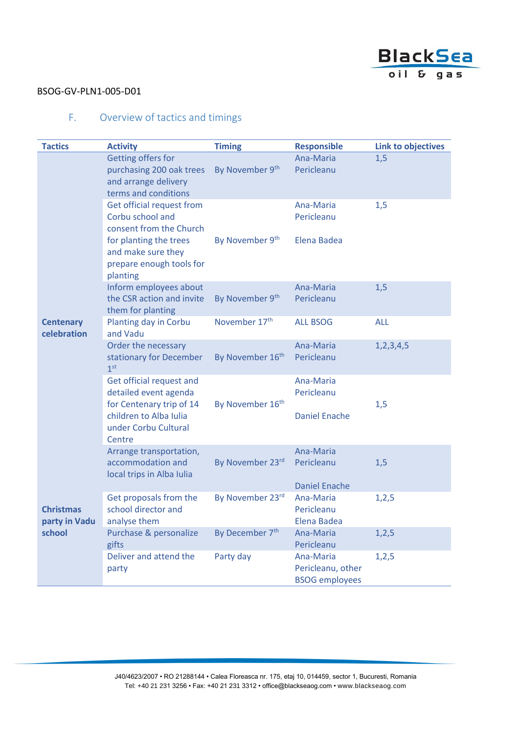

### BSOG-GV-PLN1-005-D01

## F. Overview of tactics and timings

| <b>Tactics</b>                              | <b>Activity</b>                                                                                | <b>Timing</b>                | <b>Responsible</b>                                      | <b>Link to objectives</b> |
|---------------------------------------------|------------------------------------------------------------------------------------------------|------------------------------|---------------------------------------------------------|---------------------------|
| <b>Centenary</b><br>celebration             | Getting offers for<br>purchasing 200 oak trees<br>and arrange delivery<br>terms and conditions | By November 9th              | Ana-Maria<br>Pericleanu                                 | 1,5                       |
|                                             | Get official request from<br>Corbu school and<br>consent from the Church                       |                              | Ana-Maria<br>Pericleanu                                 | 1,5                       |
|                                             | for planting the trees<br>and make sure they<br>prepare enough tools for<br>planting           | By November 9 <sup>th</sup>  | Elena Badea                                             |                           |
|                                             | Inform employees about<br>the CSR action and invite<br>them for planting                       | By November 9th              | Ana-Maria<br>Pericleanu                                 | 1,5                       |
|                                             | Planting day in Corbu<br>and Vadu                                                              | November 17th                | <b>ALL BSOG</b>                                         | <b>ALL</b>                |
|                                             | Order the necessary<br>stationary for December<br>1 <sup>st</sup>                              | By November 16 <sup>th</sup> | Ana-Maria<br>Pericleanu                                 | 1, 2, 3, 4, 5             |
|                                             | Get official request and<br>detailed event agenda<br>for Centenary trip of 14                  | By November 16 <sup>th</sup> | Ana-Maria<br>Pericleanu                                 | 1,5                       |
|                                             | children to Alba Iulia<br>under Corbu Cultural<br>Centre                                       |                              | <b>Daniel Enache</b>                                    |                           |
|                                             | Arrange transportation,<br>accommodation and<br>local trips in Alba Iulia                      | By November 23rd             | Ana-Maria<br>Pericleanu<br><b>Daniel Enache</b>         | 1,5                       |
| <b>Christmas</b><br>party in Vadu<br>school | Get proposals from the<br>school director and<br>analyse them                                  | By November 23rd             | Ana-Maria<br>Pericleanu<br>Elena Badea                  | 1,2,5                     |
|                                             | Purchase & personalize<br>gifts                                                                | By December 7th              | Ana-Maria<br>Pericleanu                                 | 1,2,5                     |
|                                             | Deliver and attend the<br>party                                                                | Party day                    | Ana-Maria<br>Pericleanu, other<br><b>BSOG employees</b> | 1, 2, 5                   |